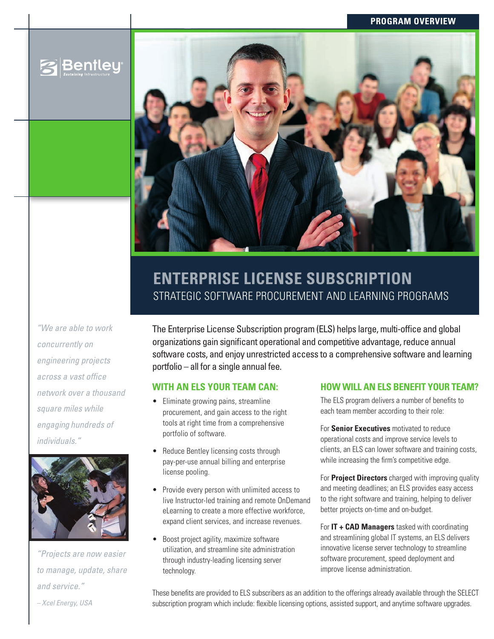### **program overview**





# **ENTERPRISE LICENSE SUBSCRIPTION** STRATEGIC SOFTWARE PROCUREMENT AND LEARNING PF

*"We are able to work concurrently on engineering projects across a vast office network over a thousand square miles while engaging hundreds of individuals."* 



*"Projects are now easier to manage, update, share and service." – Xcel Energy, USA*

The Enterprise License Subscription program (ELS) helps large, multi-office and global organizations gain significant operational and competitive advantage, reduce annual software costs, and enjoy unrestricted access to a comprehensive software and learning portfolio – all for a single annual fee.

## **With an els your team can:**

- Eliminate growing pains, streamline procurement, and gain access to the right tools at right time from a comprehensive portfolio of software.
- Reduce Bentley licensing costs through pay-per-use annual billing and enterprise license pooling.
- Provide every person with unlimited access to live Instructor-led training and remote OnDemand eLearning to create a more effective workforce, expand client services, and increase revenues.
- Boost project agility, maximize software utilization, and streamline site administration through industry-leading licensing server technology.

## **How Will an els Benefit Your team?**

The ELS program delivers a number of benefits to each team member according to their role:

For **Senior Executives** motivated to reduce operational costs and improve service levels to clients, an ELS can lower software and training costs, while increasing the firm's competitive edge.

For **Project Directors** charged with improving quality and meeting deadlines; an ELS provides easy access to the right software and training, helping to deliver better projects on-time and on-budget.

For **IT + CAD Managers** tasked with coordinating and streamlining global IT systems, an ELS delivers innovative license server technology to streamline software procurement, speed deployment and improve license administration.

These benefits are provided to ELS subscribers as an addition to the offerings already available through the SELECT subscription program which include: flexible licensing options, assisted support, and anytime software upgrades.